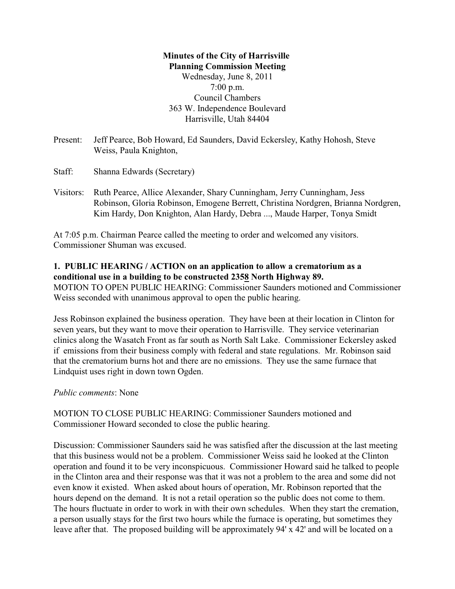## **Minutes of the City of Harrisville Planning Commission Meeting** Wednesday, June 8, 2011 7:00 p.m. Council Chambers 363 W. Independence Boulevard Harrisville, Utah 84404

- Present: Jeff Pearce, Bob Howard, Ed Saunders, David Eckersley, Kathy Hohosh, Steve Weiss, Paula Knighton,
- Staff: Shanna Edwards (Secretary)
- Visitors: Ruth Pearce, Allice Alexander, Shary Cunningham, Jerry Cunningham, Jess Robinson, Gloria Robinson, Emogene Berrett, Christina Nordgren, Brianna Nordgren, Kim Hardy, Don Knighton, Alan Hardy, Debra ..., Maude Harper, Tonya Smidt

At 7:05 p.m. Chairman Pearce called the meeting to order and welcomed any visitors. Commissioner Shuman was excused.

### **1. PUBLIC HEARING / ACTION on an application to allow a crematorium as a conditional use in a building to be constructed 2358 North Highway 89.**

MOTION TO OPEN PUBLIC HEARING: Commissioner Saunders motioned and Commissioner Weiss seconded with unanimous approval to open the public hearing.

Jess Robinson explained the business operation. They have been at their location in Clinton for seven years, but they want to move their operation to Harrisville. They service veterinarian clinics along the Wasatch Front as far south as North Salt Lake. Commissioner Eckersley asked if emissions from their business comply with federal and state regulations. Mr. Robinson said that the crematorium burns hot and there are no emissions. They use the same furnace that Lindquist uses right in down town Ogden.

### *Public comments*: None

MOTION TO CLOSE PUBLIC HEARING: Commissioner Saunders motioned and Commissioner Howard seconded to close the public hearing.

Discussion: Commissioner Saunders said he was satisfied after the discussion at the last meeting that this business would not be a problem. Commissioner Weiss said he looked at the Clinton operation and found it to be very inconspicuous. Commissioner Howard said he talked to people in the Clinton area and their response was that it was not a problem to the area and some did not even know it existed. When asked about hours of operation, Mr. Robinson reported that the hours depend on the demand. It is not a retail operation so the public does not come to them. The hours fluctuate in order to work in with their own schedules. When they start the cremation, a person usually stays for the first two hours while the furnace is operating, but sometimes they leave after that. The proposed building will be approximately 94' x 42' and will be located on a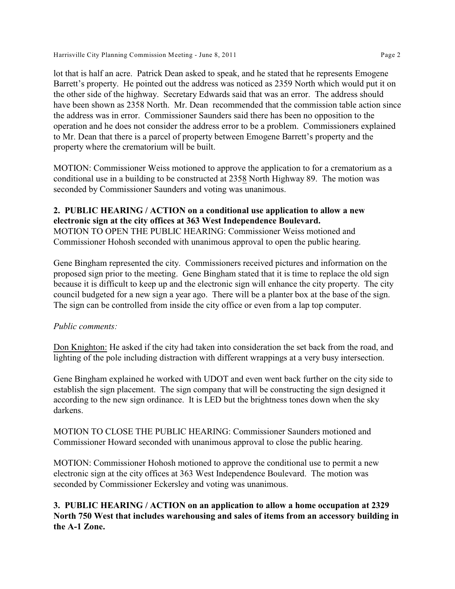Harrisville City Planning Commission Meeting - June 8, 2011 **Page 2** 

lot that is half an acre. Patrick Dean asked to speak, and he stated that he represents Emogene Barrett's property. He pointed out the address was noticed as 2359 North which would put it on the other side of the highway. Secretary Edwards said that was an error. The address should have been shown as 2358 North. Mr. Dean recommended that the commission table action since the address was in error. Commissioner Saunders said there has been no opposition to the operation and he does not consider the address error to be a problem. Commissioners explained to Mr. Dean that there is a parcel of property between Emogene Barrett's property and the property where the crematorium will be built.

MOTION: Commissioner Weiss motioned to approve the application to for a crematorium as a conditional use in a building to be constructed at 2358 North Highway 89. The motion was seconded by Commissioner Saunders and voting was unanimous.

## **2. PUBLIC HEARING / ACTION on a conditional use application to allow a new electronic sign at the city offices at 363 West Independence Boulevard.**

MOTION TO OPEN THE PUBLIC HEARING: Commissioner Weiss motioned and Commissioner Hohosh seconded with unanimous approval to open the public hearing.

Gene Bingham represented the city. Commissioners received pictures and information on the proposed sign prior to the meeting. Gene Bingham stated that it is time to replace the old sign because it is difficult to keep up and the electronic sign will enhance the city property. The city council budgeted for a new sign a year ago. There will be a planter box at the base of the sign. The sign can be controlled from inside the city office or even from a lap top computer.

## *Public comments:*

Don Knighton: He asked if the city had taken into consideration the set back from the road, and lighting of the pole including distraction with different wrappings at a very busy intersection.

Gene Bingham explained he worked with UDOT and even went back further on the city side to establish the sign placement. The sign company that will be constructing the sign designed it according to the new sign ordinance. It is LED but the brightness tones down when the sky darkens.

MOTION TO CLOSE THE PUBLIC HEARING: Commissioner Saunders motioned and Commissioner Howard seconded with unanimous approval to close the public hearing.

MOTION: Commissioner Hohosh motioned to approve the conditional use to permit a new electronic sign at the city offices at 363 West Independence Boulevard. The motion was seconded by Commissioner Eckersley and voting was unanimous.

## **3. PUBLIC HEARING / ACTION on an application to allow a home occupation at 2329 North 750 West that includes warehousing and sales of items from an accessory building in the A-1 Zone.**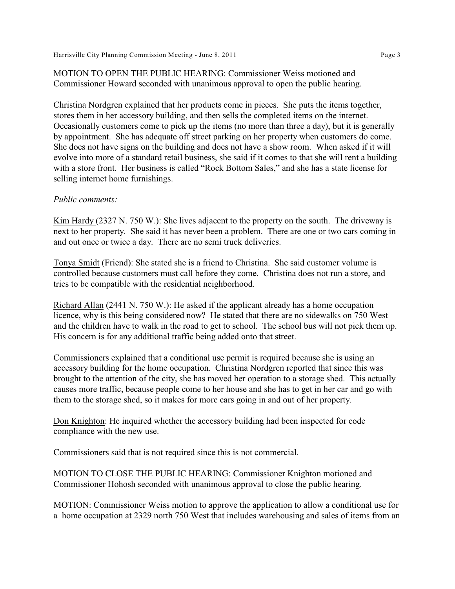MOTION TO OPEN THE PUBLIC HEARING: Commissioner Weiss motioned and Commissioner Howard seconded with unanimous approval to open the public hearing.

Christina Nordgren explained that her products come in pieces. She puts the items together, stores them in her accessory building, and then sells the completed items on the internet. Occasionally customers come to pick up the items (no more than three a day), but it is generally by appointment. She has adequate off street parking on her property when customers do come. She does not have signs on the building and does not have a show room. When asked if it will evolve into more of a standard retail business, she said if it comes to that she will rent a building with a store front. Her business is called "Rock Bottom Sales," and she has a state license for selling internet home furnishings.

#### *Public comments:*

Kim Hardy (2327 N. 750 W.): She lives adjacent to the property on the south. The driveway is next to her property. She said it has never been a problem. There are one or two cars coming in and out once or twice a day. There are no semi truck deliveries.

Tonya Smidt (Friend): She stated she is a friend to Christina. She said customer volume is controlled because customers must call before they come. Christina does not run a store, and tries to be compatible with the residential neighborhood.

Richard Allan (2441 N. 750 W.): He asked if the applicant already has a home occupation licence, why is this being considered now? He stated that there are no sidewalks on 750 West and the children have to walk in the road to get to school. The school bus will not pick them up. His concern is for any additional traffic being added onto that street.

Commissioners explained that a conditional use permit is required because she is using an accessory building for the home occupation. Christina Nordgren reported that since this was brought to the attention of the city, she has moved her operation to a storage shed. This actually causes more traffic, because people come to her house and she has to get in her car and go with them to the storage shed, so it makes for more cars going in and out of her property.

Don Knighton: He inquired whether the accessory building had been inspected for code compliance with the new use.

Commissioners said that is not required since this is not commercial.

MOTION TO CLOSE THE PUBLIC HEARING: Commissioner Knighton motioned and Commissioner Hohosh seconded with unanimous approval to close the public hearing.

MOTION: Commissioner Weiss motion to approve the application to allow a conditional use for a home occupation at 2329 north 750 West that includes warehousing and sales of items from an